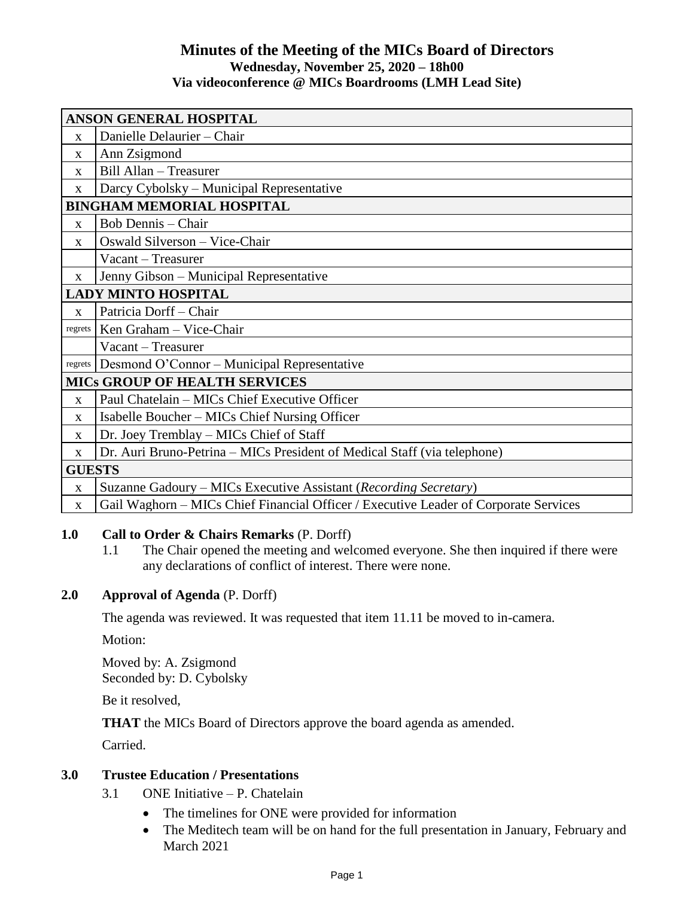### **Minutes of the Meeting of the MICs Board of Directors Wednesday, November 25, 2020 – 18h00 Via videoconference @ MICs Boardrooms (LMH Lead Site)**

| ANSON GENERAL HOSPITAL               |                                                                                      |
|--------------------------------------|--------------------------------------------------------------------------------------|
| $\mathbf{x}$                         | Danielle Delaurier - Chair                                                           |
| X                                    | Ann Zsigmond                                                                         |
| $\mathbf{X}$                         | Bill Allan - Treasurer                                                               |
| X                                    | Darcy Cybolsky – Municipal Representative                                            |
| <b>BINGHAM MEMORIAL HOSPITAL</b>     |                                                                                      |
| X                                    | Bob Dennis – Chair                                                                   |
| $\mathbf{x}$                         | Oswald Silverson - Vice-Chair                                                        |
|                                      | Vacant - Treasurer                                                                   |
| $\mathbf{X}$                         | Jenny Gibson – Municipal Representative                                              |
| <b>LADY MINTO HOSPITAL</b>           |                                                                                      |
| $\mathbf{x}$                         | Patricia Dorff - Chair                                                               |
| regrets                              | Ken Graham - Vice-Chair                                                              |
|                                      | Vacant - Treasurer                                                                   |
| regrets                              | Desmond O'Connor – Municipal Representative                                          |
| <b>MICS GROUP OF HEALTH SERVICES</b> |                                                                                      |
| $\mathbf{x}$                         | Paul Chatelain – MICs Chief Executive Officer                                        |
| X                                    | Isabelle Boucher – MICs Chief Nursing Officer                                        |
| X                                    | Dr. Joey Tremblay – MICs Chief of Staff                                              |
| X                                    | Dr. Auri Bruno-Petrina – MICs President of Medical Staff (via telephone)             |
| <b>GUESTS</b>                        |                                                                                      |
| $\mathbf{x}$                         | Suzanne Gadoury - MICs Executive Assistant (Recording Secretary)                     |
| $\mathbf X$                          | Gail Waghorn – MICs Chief Financial Officer / Executive Leader of Corporate Services |

## **1.0 Call to Order & Chairs Remarks** (P. Dorff)

1.1 The Chair opened the meeting and welcomed everyone. She then inquired if there were any declarations of conflict of interest. There were none.

### **2.0 Approval of Agenda** (P. Dorff)

The agenda was reviewed. It was requested that item 11.11 be moved to in-camera.

Motion:

Moved by: A. Zsigmond Seconded by: D. Cybolsky

Be it resolved,

**THAT** the MICs Board of Directors approve the board agenda as amended.

Carried.

### **3.0 Trustee Education / Presentations**

- 3.1 ONE Initiative P. Chatelain
	- The timelines for ONE were provided for information
	- The Meditech team will be on hand for the full presentation in January, February and March 2021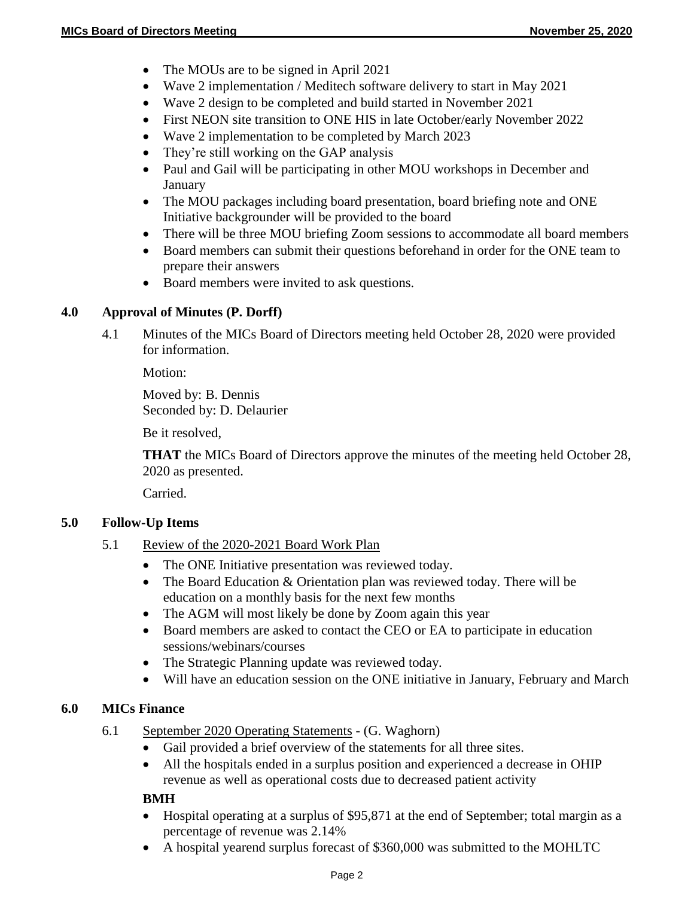- The MOUs are to be signed in April 2021
- Wave 2 implementation / Meditech software delivery to start in May 2021
- Wave 2 design to be completed and build started in November 2021
- First NEON site transition to ONE HIS in late October/early November 2022
- Wave 2 implementation to be completed by March 2023
- They're still working on the GAP analysis
- Paul and Gail will be participating in other MOU workshops in December and **January**
- The MOU packages including board presentation, board briefing note and ONE Initiative backgrounder will be provided to the board
- There will be three MOU briefing Zoom sessions to accommodate all board members
- Board members can submit their questions beforehand in order for the ONE team to prepare their answers
- Board members were invited to ask questions.

## **4.0 Approval of Minutes (P. Dorff)**

4.1 Minutes of the MICs Board of Directors meeting held October 28, 2020 were provided for information.

Motion:

Moved by: B. Dennis Seconded by: D. Delaurier

Be it resolved,

**THAT** the MICs Board of Directors approve the minutes of the meeting held October 28, 2020 as presented.

Carried.

### **5.0 Follow-Up Items**

- 5.1 Review of the 2020-2021 Board Work Plan
	- The ONE Initiative presentation was reviewed today.
	- The Board Education & Orientation plan was reviewed today. There will be education on a monthly basis for the next few months
	- The AGM will most likely be done by Zoom again this year
	- Board members are asked to contact the CEO or EA to participate in education sessions/webinars/courses
	- The Strategic Planning update was reviewed today.
	- Will have an education session on the ONE initiative in January, February and March

### **6.0 MICs Finance**

- 6.1 September 2020 Operating Statements (G. Waghorn)
	- Gail provided a brief overview of the statements for all three sites.
	- All the hospitals ended in a surplus position and experienced a decrease in OHIP revenue as well as operational costs due to decreased patient activity

#### **BMH**

- Hospital operating at a surplus of \$95,871 at the end of September; total margin as a percentage of revenue was 2.14%
- A hospital yearend surplus forecast of \$360,000 was submitted to the MOHLTC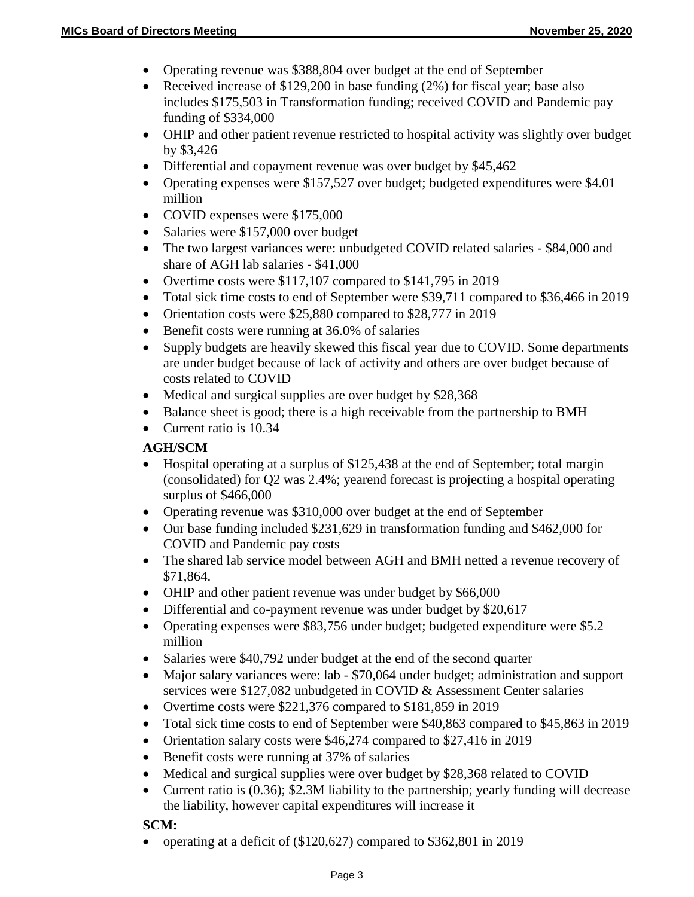- Operating revenue was \$388,804 over budget at the end of September
- Received increase of \$129,200 in base funding  $(2\%)$  for fiscal year; base also includes \$175,503 in Transformation funding; received COVID and Pandemic pay funding of \$334,000
- OHIP and other patient revenue restricted to hospital activity was slightly over budget by \$3,426
- Differential and copayment revenue was over budget by \$45,462
- Operating expenses were \$157,527 over budget; budgeted expenditures were \$4.01 million
- COVID expenses were \$175,000
- Salaries were \$157,000 over budget
- The two largest variances were: unbudgeted COVID related salaries \$84,000 and share of AGH lab salaries - \$41,000
- Overtime costs were \$117,107 compared to \$141,795 in 2019
- Total sick time costs to end of September were \$39,711 compared to \$36,466 in 2019
- Orientation costs were \$25,880 compared to \$28,777 in 2019
- Benefit costs were running at 36.0% of salaries
- Supply budgets are heavily skewed this fiscal year due to COVID. Some departments are under budget because of lack of activity and others are over budget because of costs related to COVID
- Medical and surgical supplies are over budget by \$28,368
- Balance sheet is good; there is a high receivable from the partnership to BMH
- Current ratio is 10.34

#### **AGH/SCM**

- Hospital operating at a surplus of \$125,438 at the end of September; total margin (consolidated) for Q2 was 2.4%; yearend forecast is projecting a hospital operating surplus of \$466,000
- Operating revenue was \$310,000 over budget at the end of September
- Our base funding included \$231,629 in transformation funding and \$462,000 for COVID and Pandemic pay costs
- The shared lab service model between AGH and BMH netted a revenue recovery of \$71,864.
- OHIP and other patient revenue was under budget by \$66,000
- Differential and co-payment revenue was under budget by \$20,617
- Operating expenses were \$83,756 under budget; budgeted expenditure were \$5.2 million
- Salaries were \$40,792 under budget at the end of the second quarter
- Major salary variances were: lab \$70,064 under budget; administration and support services were \$127,082 unbudgeted in COVID & Assessment Center salaries
- Overtime costs were \$221,376 compared to \$181,859 in 2019
- Total sick time costs to end of September were \$40,863 compared to \$45,863 in 2019
- Orientation salary costs were \$46,274 compared to \$27,416 in 2019
- Benefit costs were running at 37% of salaries
- Medical and surgical supplies were over budget by \$28,368 related to COVID
- Current ratio is (0.36); \$2.3M liability to the partnership; yearly funding will decrease the liability, however capital expenditures will increase it

#### **SCM:**

operating at a deficit of (\$120,627) compared to \$362,801 in 2019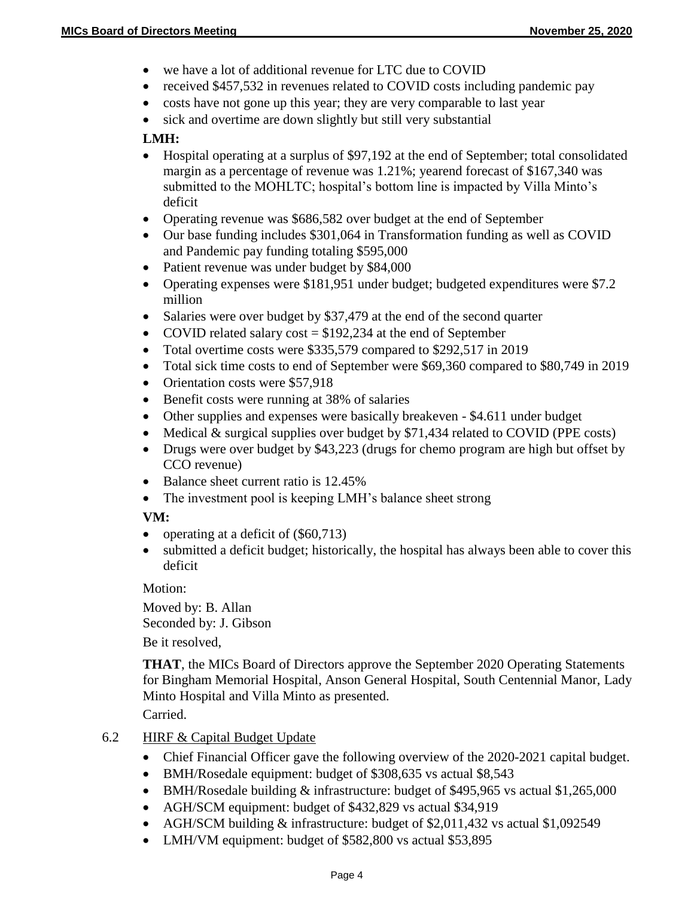- we have a lot of additional revenue for LTC due to COVID
- received \$457,532 in revenues related to COVID costs including pandemic pay
- costs have not gone up this year; they are very comparable to last year
- sick and overtime are down slightly but still very substantial

### **LMH:**

- Hospital operating at a surplus of \$97,192 at the end of September; total consolidated margin as a percentage of revenue was 1.21%; yearend forecast of \$167,340 was submitted to the MOHLTC; hospital's bottom line is impacted by Villa Minto's deficit
- Operating revenue was \$686,582 over budget at the end of September
- Our base funding includes \$301,064 in Transformation funding as well as COVID and Pandemic pay funding totaling \$595,000
- Patient revenue was under budget by \$84,000
- Operating expenses were \$181,951 under budget; budgeted expenditures were \$7.2 million
- Salaries were over budget by \$37,479 at the end of the second quarter
- COVID related salary  $cost = $192,234$  at the end of September
- Total overtime costs were \$335,579 compared to \$292,517 in 2019
- Total sick time costs to end of September were \$69,360 compared to \$80,749 in 2019
- Orientation costs were \$57,918
- Benefit costs were running at 38% of salaries
- Other supplies and expenses were basically breakeven \$4.611 under budget
- Medical  $&$  surgical supplies over budget by \$71,434 related to COVID (PPE costs)
- Drugs were over budget by \$43,223 (drugs for chemo program are high but offset by CCO revenue)
- Balance sheet current ratio is 12.45%
- The investment pool is keeping LMH's balance sheet strong

# **VM:**

- operating at a deficit of  $(\$60,713)$
- submitted a deficit budget; historically, the hospital has always been able to cover this deficit

Motion:

Moved by: B. Allan Seconded by: J. Gibson Be it resolved,

**THAT**, the MICs Board of Directors approve the September 2020 Operating Statements for Bingham Memorial Hospital, Anson General Hospital, South Centennial Manor, Lady Minto Hospital and Villa Minto as presented.

Carried.

### 6.2 HIRF & Capital Budget Update

- Chief Financial Officer gave the following overview of the 2020-2021 capital budget.
- BMH/Rosedale equipment: budget of \$308,635 vs actual \$8,543
- BMH/Rosedale building & infrastructure: budget of \$495,965 vs actual \$1,265,000
- AGH/SCM equipment: budget of \$432,829 vs actual \$34,919
- AGH/SCM building & infrastructure: budget of \$2,011,432 vs actual \$1,092549
- LMH/VM equipment: budget of \$582,800 vs actual \$53,895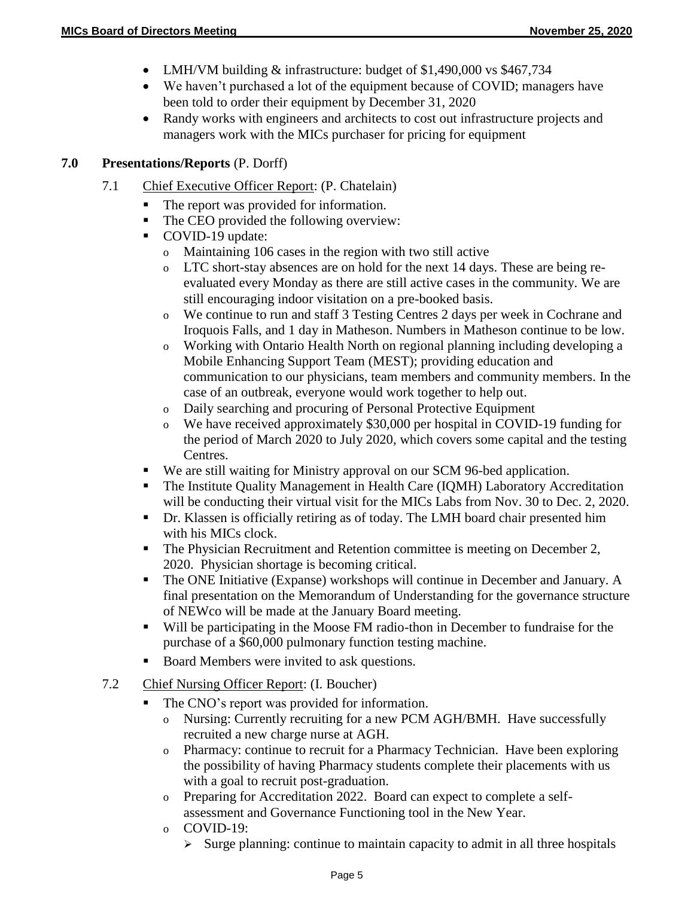- LMH/VM building & infrastructure: budget of \$1,490,000 vs \$467,734
- We haven't purchased a lot of the equipment because of COVID; managers have been told to order their equipment by December 31, 2020
- Randy works with engineers and architects to cost out infrastructure projects and managers work with the MICs purchaser for pricing for equipment

#### **7.0 Presentations/Reports** (P. Dorff)

- 7.1 Chief Executive Officer Report: (P. Chatelain)
	- The report was provided for information.
	- The CEO provided the following overview:
	- COVID-19 update:
		- o Maintaining 106 cases in the region with two still active
		- o LTC short-stay absences are on hold for the next 14 days. These are being reevaluated every Monday as there are still active cases in the community. We are still encouraging indoor visitation on a pre-booked basis.
		- o We continue to run and staff 3 Testing Centres 2 days per week in Cochrane and Iroquois Falls, and 1 day in Matheson. Numbers in Matheson continue to be low.
		- o Working with Ontario Health North on regional planning including developing a Mobile Enhancing Support Team (MEST); providing education and communication to our physicians, team members and community members. In the case of an outbreak, everyone would work together to help out.
		- o Daily searching and procuring of Personal Protective Equipment
		- o We have received approximately \$30,000 per hospital in COVID-19 funding for the period of March 2020 to July 2020, which covers some capital and the testing Centres.
	- We are still waiting for Ministry approval on our SCM 96-bed application.
	- The Institute Quality Management in Health Care (IQMH) Laboratory Accreditation will be conducting their virtual visit for the MICs Labs from Nov. 30 to Dec. 2, 2020.
	- Dr. Klassen is officially retiring as of today. The LMH board chair presented him with his MICs clock.
	- The Physician Recruitment and Retention committee is meeting on December 2, 2020. Physician shortage is becoming critical.
	- The ONE Initiative (Expanse) workshops will continue in December and January. A final presentation on the Memorandum of Understanding for the governance structure of NEWco will be made at the January Board meeting.
	- Will be participating in the Moose FM radio-thon in December to fundraise for the purchase of a \$60,000 pulmonary function testing machine.
	- Board Members were invited to ask questions.
- 7.2 Chief Nursing Officer Report: (I. Boucher)
	- The CNO's report was provided for information.
		- o Nursing: Currently recruiting for a new PCM AGH/BMH. Have successfully recruited a new charge nurse at AGH.
		- o Pharmacy: continue to recruit for a Pharmacy Technician. Have been exploring the possibility of having Pharmacy students complete their placements with us with a goal to recruit post-graduation.
		- o Preparing for Accreditation 2022. Board can expect to complete a selfassessment and Governance Functioning tool in the New Year.
		- o COVID-19:
			- $\triangleright$  Surge planning: continue to maintain capacity to admit in all three hospitals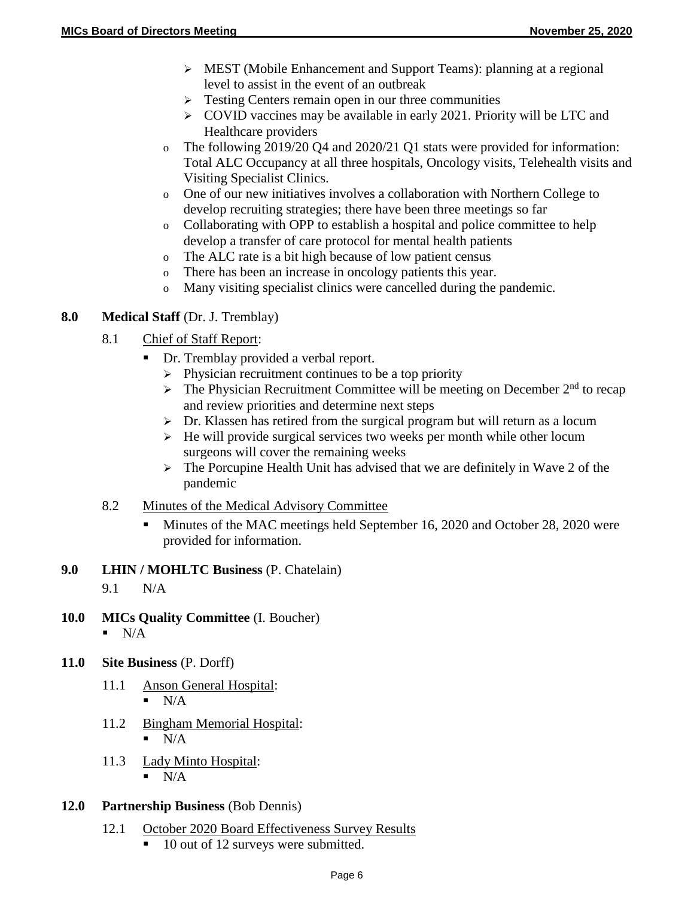- MEST (Mobile Enhancement and Support Teams): planning at a regional level to assist in the event of an outbreak
- $\triangleright$  Testing Centers remain open in our three communities
- $\geq$  COVID vaccines may be available in early 2021. Priority will be LTC and Healthcare providers
- o The following 2019/20 Q4 and 2020/21 Q1 stats were provided for information: Total ALC Occupancy at all three hospitals, Oncology visits, Telehealth visits and Visiting Specialist Clinics.
- o One of our new initiatives involves a collaboration with Northern College to develop recruiting strategies; there have been three meetings so far
- o Collaborating with OPP to establish a hospital and police committee to help develop a transfer of care protocol for mental health patients
- o The ALC rate is a bit high because of low patient census
- o There has been an increase in oncology patients this year.
- o Many visiting specialist clinics were cancelled during the pandemic.

## **8.0 Medical Staff** (Dr. J. Tremblay)

- 8.1 Chief of Staff Report:
	- Dr. Tremblay provided a verbal report.
		- $\triangleright$  Physician recruitment continues to be a top priority
		- $\triangleright$  The Physician Recruitment Committee will be meeting on December 2<sup>nd</sup> to recap and review priorities and determine next steps
		- $\triangleright$  Dr. Klassen has retired from the surgical program but will return as a locum
		- $\triangleright$  He will provide surgical services two weeks per month while other locum surgeons will cover the remaining weeks
		- $\triangleright$  The Porcupine Health Unit has advised that we are definitely in Wave 2 of the pandemic
- 8.2 Minutes of the Medical Advisory Committee
	- Minutes of the MAC meetings held September 16, 2020 and October 28, 2020 were provided for information.

### **9.0 LHIN / MOHLTC Business** (P. Chatelain)

- 9.1 N/A
- **10.0 MICs Quality Committee** (I. Boucher)  $\blacksquare$  N/A
- **11.0 Site Business** (P. Dorff)
	- 11.1 Anson General Hospital:  $\blacksquare$  N/A
	- 11.2 Bingham Memorial Hospital:  $N/A$
	- 11.3 Lady Minto Hospital:  $\blacksquare$  N/A
- **12.0 Partnership Business** (Bob Dennis)
	- 12.1 October 2020 Board Effectiveness Survey Results
		- 10 out of 12 surveys were submitted.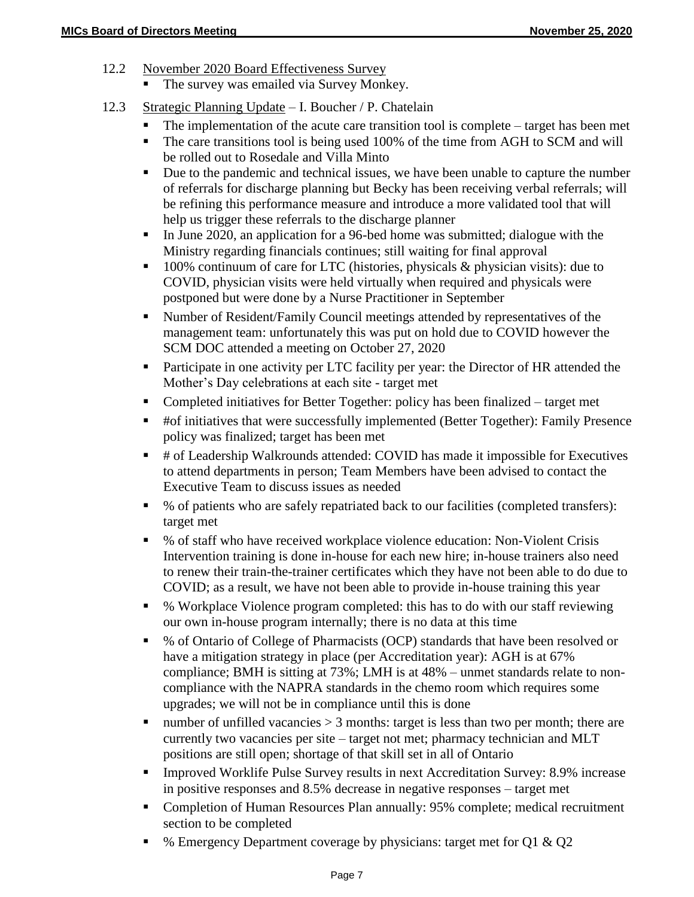- 12.2 November 2020 Board Effectiveness Survey
	- The survey was emailed via Survey Monkey.
- 12.3 Strategic Planning Update I. Boucher / P. Chatelain
	- The implementation of the acute care transition tool is complete target has been met
	- The care transitions tool is being used 100% of the time from AGH to SCM and will be rolled out to Rosedale and Villa Minto
	- Due to the pandemic and technical issues, we have been unable to capture the number of referrals for discharge planning but Becky has been receiving verbal referrals; will be refining this performance measure and introduce a more validated tool that will help us trigger these referrals to the discharge planner
	- In June 2020, an application for a 96-bed home was submitted; dialogue with the Ministry regarding financials continues; still waiting for final approval
	- $\blacksquare$  100% continuum of care for LTC (histories, physicals & physician visits): due to COVID, physician visits were held virtually when required and physicals were postponed but were done by a Nurse Practitioner in September
	- Number of Resident/Family Council meetings attended by representatives of the management team: unfortunately this was put on hold due to COVID however the SCM DOC attended a meeting on October 27, 2020
	- **Participate in one activity per LTC facility per year: the Director of HR attended the** Mother's Day celebrations at each site - target met
	- Completed initiatives for Better Together: policy has been finalized target met
	- #of initiatives that were successfully implemented (Better Together): Family Presence policy was finalized; target has been met
	- # of Leadership Walkrounds attended: COVID has made it impossible for Executives to attend departments in person; Team Members have been advised to contact the Executive Team to discuss issues as needed
	- % of patients who are safely repatriated back to our facilities (completed transfers): target met
	- % of staff who have received workplace violence education: Non-Violent Crisis Intervention training is done in-house for each new hire; in-house trainers also need to renew their train-the-trainer certificates which they have not been able to do due to COVID; as a result, we have not been able to provide in-house training this year
	- % Workplace Violence program completed: this has to do with our staff reviewing our own in-house program internally; there is no data at this time
	- % of Ontario of College of Pharmacists (OCP) standards that have been resolved or have a mitigation strategy in place (per Accreditation year): AGH is at 67% compliance; BMH is sitting at 73%; LMH is at 48% – unmet standards relate to noncompliance with the NAPRA standards in the chemo room which requires some upgrades; we will not be in compliance until this is done
	- number of unfilled vacancies  $> 3$  months: target is less than two per month; there are currently two vacancies per site – target not met; pharmacy technician and MLT positions are still open; shortage of that skill set in all of Ontario
	- Improved Worklife Pulse Survey results in next Accreditation Survey: 8.9% increase in positive responses and 8.5% decrease in negative responses – target met
	- Completion of Human Resources Plan annually: 95% complete; medical recruitment section to be completed
	- $\bullet$  % Emergency Department coverage by physicians: target met for Q1 & Q2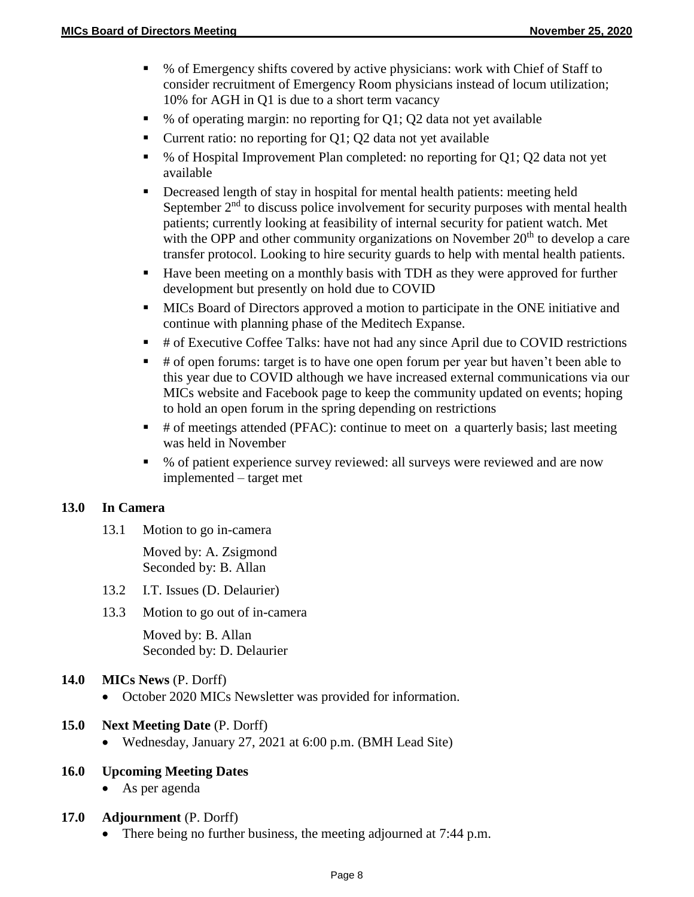- % of Emergency shifts covered by active physicians: work with Chief of Staff to consider recruitment of Emergency Room physicians instead of locum utilization; 10% for AGH in Q1 is due to a short term vacancy
- % of operating margin: no reporting for Q1; Q2 data not yet available
- Current ratio: no reporting for  $Q1$ ;  $Q2$  data not yet available
- % of Hospital Improvement Plan completed: no reporting for Q1; Q2 data not yet available
- Decreased length of stay in hospital for mental health patients: meeting held September  $2<sup>nd</sup>$  to discuss police involvement for security purposes with mental health patients; currently looking at feasibility of internal security for patient watch. Met with the OPP and other community organizations on November  $20<sup>th</sup>$  to develop a care transfer protocol. Looking to hire security guards to help with mental health patients.
- Have been meeting on a monthly basis with TDH as they were approved for further development but presently on hold due to COVID
- **MICs** Board of Directors approved a motion to participate in the ONE initiative and continue with planning phase of the Meditech Expanse.
- # of Executive Coffee Talks: have not had any since April due to COVID restrictions
- $\bullet$  # of open forums: target is to have one open forum per year but haven't been able to this year due to COVID although we have increased external communications via our MICs website and Facebook page to keep the community updated on events; hoping to hold an open forum in the spring depending on restrictions
- $\blacksquare$  # of meetings attended (PFAC): continue to meet on a quarterly basis; last meeting was held in November
- % of patient experience survey reviewed: all surveys were reviewed and are now implemented – target met

#### **13.0 In Camera**

13.1 Motion to go in-camera

Moved by: A. Zsigmond Seconded by: B. Allan

- 13.2 I.T. Issues (D. Delaurier)
- 13.3 Motion to go out of in-camera

Moved by: B. Allan Seconded by: D. Delaurier

- **14.0 MICs News** (P. Dorff)
	- October 2020 MICs Newsletter was provided for information.

#### **15.0 Next Meeting Date** (P. Dorff)

Wednesday, January 27, 2021 at 6:00 p.m. (BMH Lead Site)

### **16.0 Upcoming Meeting Dates**

• As per agenda

# **17.0 Adjournment** (P. Dorff)

• There being no further business, the meeting adjourned at 7:44 p.m.